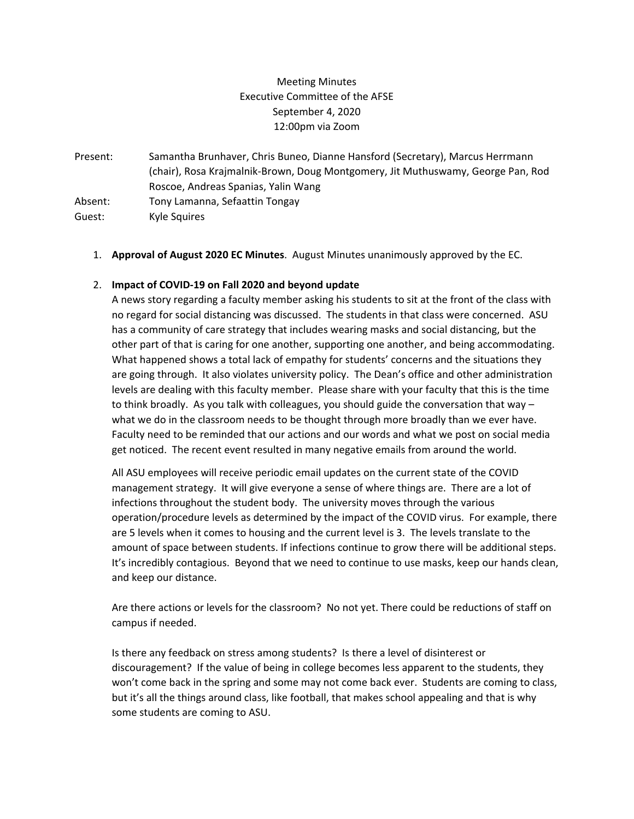## Meeting Minutes Executive Committee of the AFSE September 4, 2020 12:00pm via Zoom

Present: Samantha Brunhaver, Chris Buneo, Dianne Hansford (Secretary), Marcus Herrmann (chair), Rosa Krajmalnik‐Brown, Doug Montgomery, Jit Muthuswamy, George Pan, Rod Roscoe, Andreas Spanias, Yalin Wang Absent: Tony Lamanna, Sefaattin Tongay Guest: Kyle Squires

1. **Approval of August 2020 EC Minutes**. August Minutes unanimously approved by the EC.

## 2. **Impact of COVID‐19 on Fall 2020 and beyond update**

A news story regarding a faculty member asking his students to sit at the front of the class with no regard for social distancing was discussed. The students in that class were concerned. ASU has a community of care strategy that includes wearing masks and social distancing, but the other part of that is caring for one another, supporting one another, and being accommodating. What happened shows a total lack of empathy for students' concerns and the situations they are going through. It also violates university policy. The Dean's office and other administration levels are dealing with this faculty member. Please share with your faculty that this is the time to think broadly. As you talk with colleagues, you should guide the conversation that way – what we do in the classroom needs to be thought through more broadly than we ever have. Faculty need to be reminded that our actions and our words and what we post on social media get noticed. The recent event resulted in many negative emails from around the world.

All ASU employees will receive periodic email updates on the current state of the COVID management strategy. It will give everyone a sense of where things are. There are a lot of infections throughout the student body. The university moves through the various operation/procedure levels as determined by the impact of the COVID virus. For example, there are 5 levels when it comes to housing and the current level is 3. The levels translate to the amount of space between students. If infections continue to grow there will be additional steps. It's incredibly contagious. Beyond that we need to continue to use masks, keep our hands clean, and keep our distance.

Are there actions or levels for the classroom? No not yet. There could be reductions of staff on campus if needed.

Is there any feedback on stress among students? Is there a level of disinterest or discouragement? If the value of being in college becomes less apparent to the students, they won't come back in the spring and some may not come back ever. Students are coming to class, but it's all the things around class, like football, that makes school appealing and that is why some students are coming to ASU.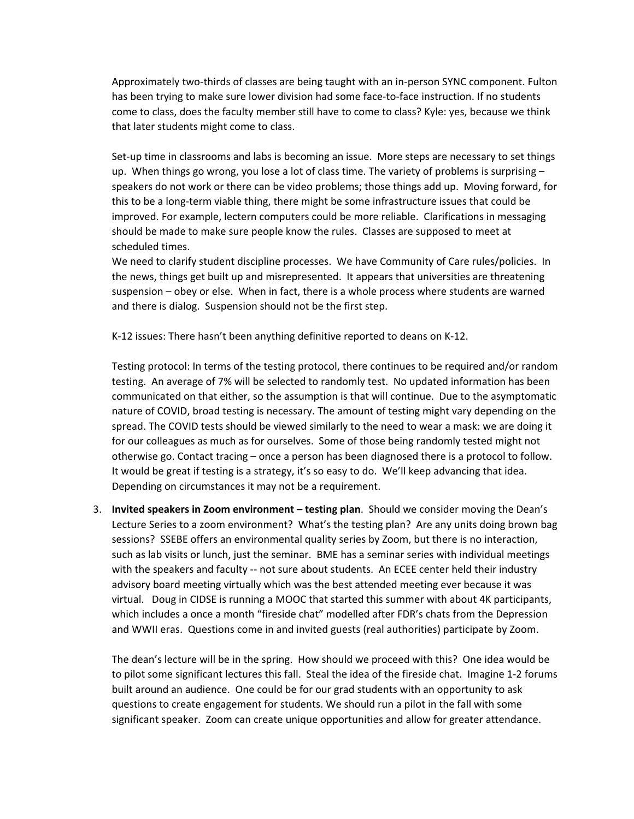Approximately two‐thirds of classes are being taught with an in‐person SYNC component. Fulton has been trying to make sure lower division had some face-to-face instruction. If no students come to class, does the faculty member still have to come to class? Kyle: yes, because we think that later students might come to class.

Set-up time in classrooms and labs is becoming an issue. More steps are necessary to set things up. When things go wrong, you lose a lot of class time. The variety of problems is surprising  $$ speakers do not work or there can be video problems; those things add up. Moving forward, for this to be a long‐term viable thing, there might be some infrastructure issues that could be improved. For example, lectern computers could be more reliable. Clarifications in messaging should be made to make sure people know the rules. Classes are supposed to meet at scheduled times.

We need to clarify student discipline processes. We have Community of Care rules/policies. In the news, things get built up and misrepresented. It appears that universities are threatening suspension – obey or else. When in fact, there is a whole process where students are warned and there is dialog. Suspension should not be the first step.

K‐12 issues: There hasn't been anything definitive reported to deans on K‐12.

Testing protocol: In terms of the testing protocol, there continues to be required and/or random testing. An average of 7% will be selected to randomly test. No updated information has been communicated on that either, so the assumption is that will continue. Due to the asymptomatic nature of COVID, broad testing is necessary. The amount of testing might vary depending on the spread. The COVID tests should be viewed similarly to the need to wear a mask: we are doing it for our colleagues as much as for ourselves. Some of those being randomly tested might not otherwise go. Contact tracing – once a person has been diagnosed there is a protocol to follow. It would be great if testing is a strategy, it's so easy to do. We'll keep advancing that idea. Depending on circumstances it may not be a requirement.

3. **Invited speakers in Zoom environment – testing plan**. Should we consider moving the Dean's Lecture Series to a zoom environment? What's the testing plan? Are any units doing brown bag sessions? SSEBE offers an environmental quality series by Zoom, but there is no interaction, such as lab visits or lunch, just the seminar. BME has a seminar series with individual meetings with the speakers and faculty -- not sure about students. An ECEE center held their industry advisory board meeting virtually which was the best attended meeting ever because it was virtual. Doug in CIDSE is running a MOOC that started this summer with about 4K participants, which includes a once a month "fireside chat" modelled after FDR's chats from the Depression and WWII eras. Questions come in and invited guests (real authorities) participate by Zoom.

The dean's lecture will be in the spring. How should we proceed with this? One idea would be to pilot some significant lectures this fall. Steal the idea of the fireside chat. Imagine 1‐2 forums built around an audience. One could be for our grad students with an opportunity to ask questions to create engagement for students. We should run a pilot in the fall with some significant speaker. Zoom can create unique opportunities and allow for greater attendance.